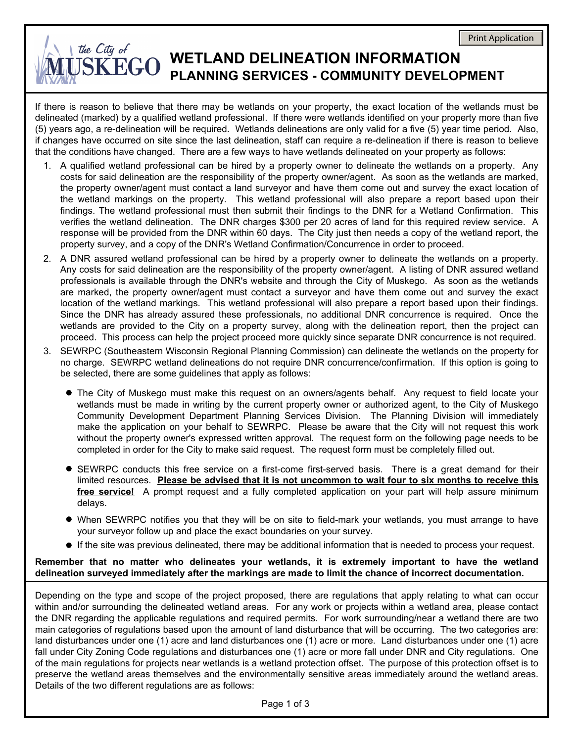## the City of **SKEGO** WETLAND DELINEATION INFORMATION **PLANNING SERVICES - COMMUNITY DEVELOPMENT**

If there is reason to believe that there may be wetlands on your property, the exact location of the wetlands must be delineated (marked) by a qualified wetland professional. If there were wetlands identified on your property more than five (5) years ago, a re-delineation will be required. Wetlands delineations are only valid for a five (5) year time period. Also, if changes have occurred on site since the last delineation, staff can require a re-delineation if there is reason to believe that the conditions have changed. There are a few ways to have wetlands delineated on your property as follows:

- A qualified wetland professional can be hired by a property owner to delineate the wetlands on a property. Any 1. costs for said delineation are the responsibility of the property owner/agent. As soon as the wetlands are marked, the property owner/agent must contact a land surveyor and have them come out and survey the exact location of the wetland markings on the property. This wetland professional will also prepare a report based upon their findings. The wetland professional must then submit their findings to the DNR for a Wetland Confirmation. This verifies the wetland delineation. The DNR charges \$300 per 20 acres of land for this required review service. A response will be provided from the DNR within 60 days. The City just then needs a copy of the wetland report, the property survey, and a copy of the DNR's Wetland Confirmation/Concurrence in order to proceed.
- A DNR assured wetland professional can be hired by a property owner to delineate the wetlands on a property. 2. Any costs for said delineation are the responsibility of the property owner/agent. A listing of DNR assured wetland professionals is available through the DNR's website and through the City of Muskego. As soon as the wetlands are marked, the property owner/agent must contact a surveyor and have them come out and survey the exact location of the wetland markings. This wetland professional will also prepare a report based upon their findings. Since the DNR has already assured these professionals, no additional DNR concurrence is required. Once the wetlands are provided to the City on a property survey, along with the delineation report, then the project can proceed. This process can help the project proceed more quickly since separate DNR concurrence is not required.
- SEWRPC (Southeastern Wisconsin Regional Planning Commission) can delineate the wetlands on the property for 3. no charge. SEWRPC wetland delineations do not require DNR concurrence/confirmation. If this option is going to be selected, there are some guidelines that apply as follows:
	- The City of Muskego must make this request on an owners/agents behalf. Any request to field locate your wetlands must be made in writing by the current property owner or authorized agent, to the City of Muskego Community Development Department Planning Services Division. The Planning Division will immediately make the application on your behalf to SEWRPC. Please be aware that the City will not request this work without the property owner's expressed written approval. The request form on the following page needs to be completed in order for the City to make said request. The request form must be completely filled out.
	- SEWRPC conducts this free service on a first-come first-served basis. There is a great demand for their limited resources. **Please be advised that it is not uncommon to wait four to six months to receive this free service!** A prompt request and a fully completed application on your part will help assure minimum delays.
	- When SEWRPC notifies you that they will be on site to field-mark your wetlands, you must arrange to have your surveyor follow up and place the exact boundaries on your survey.
	- If the site was previous delineated, there may be additional information that is needed to process your request.

### **Remember that no matter who delineates your wetlands, it is extremely important to have the wetland delineation surveyed immediately after the markings are made to limit the chance of incorrect documentation.**

Depending on the type and scope of the project proposed, there are regulations that apply relating to what can occur within and/or surrounding the delineated wetland areas. For any work or projects within a wetland area, please contact the DNR regarding the applicable regulations and required permits. For work surrounding/near a wetland there are two main categories of regulations based upon the amount of land disturbance that will be occurring. The two categories are: land disturbances under one (1) acre and land disturbances one (1) acre or more. Land disturbances under one (1) acre fall under City Zoning Code regulations and disturbances one (1) acre or more fall under DNR and City regulations. One of the main regulations for projects near wetlands is a wetland protection offset. The purpose of this protection offset is to preserve the wetland areas themselves and the environmentally sensitive areas immediately around the wetland areas. Details of the two different regulations are as follows: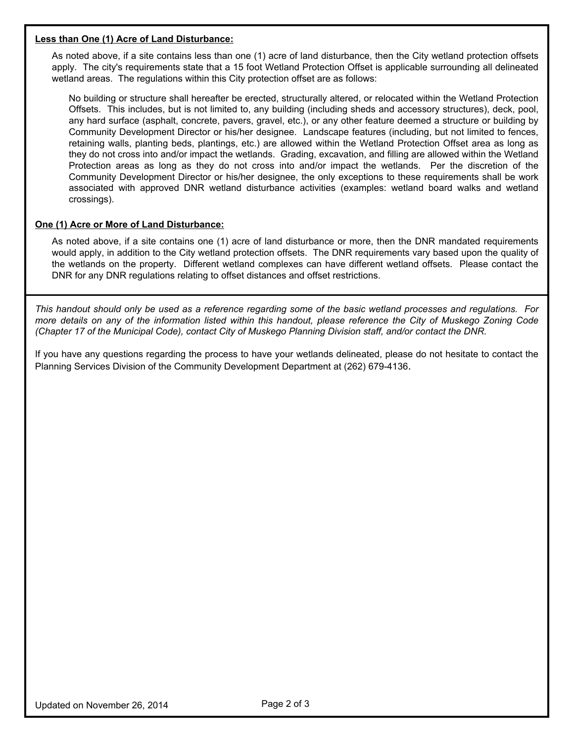#### **Less than One (1) Acre of Land Disturbance:**

As noted above, if a site contains less than one (1) acre of land disturbance, then the City wetland protection offsets apply. The city's requirements state that a 15 foot Wetland Protection Offset is applicable surrounding all delineated wetland areas. The regulations within this City protection offset are as follows:

No building or structure shall hereafter be erected, structurally altered, or relocated within the Wetland Protection Offsets. This includes, but is not limited to, any building (including sheds and accessory structures), deck, pool, any hard surface (asphalt, concrete, pavers, gravel, etc.), or any other feature deemed a structure or building by Community Development Director or his/her designee. Landscape features (including, but not limited to fences, retaining walls, planting beds, plantings, etc.) are allowed within the Wetland Protection Offset area as long as they do not cross into and/or impact the wetlands. Grading, excavation, and filling are allowed within the Wetland Protection areas as long as they do not cross into and/or impact the wetlands. Per the discretion of the Community Development Director or his/her designee, the only exceptions to these requirements shall be work associated with approved DNR wetland disturbance activities (examples: wetland board walks and wetland crossings).

#### **One (1) Acre or More of Land Disturbance:**

As noted above, if a site contains one (1) acre of land disturbance or more, then the DNR mandated requirements would apply, in addition to the City wetland protection offsets. The DNR requirements vary based upon the quality of the wetlands on the property. Different wetland complexes can have different wetland offsets. Please contact the DNR for any DNR regulations relating to offset distances and offset restrictions.

*This handout should only be used as a reference regarding some of the basic wetland processes and regulations. For more details on any of the information listed within this handout, please reference the City of Muskego Zoning Code (Chapter 17 of the Municipal Code), contact City of Muskego Planning Division staff, and/or contact the DNR.* 

If you have any questions regarding the process to have your wetlands delineated, please do not hesitate to contact the Planning Services Division of the Community Development Department at (262) 679-4136.